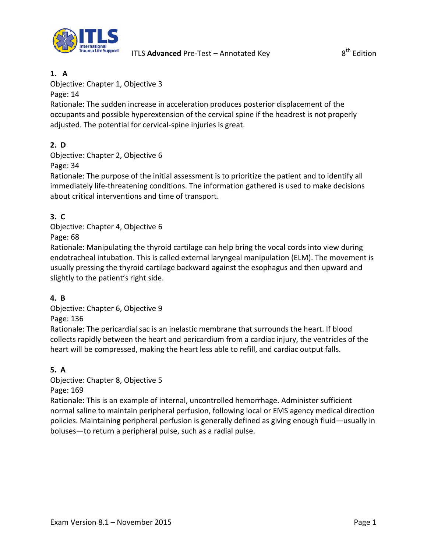

### **1. A**

Objective: Chapter 1, Objective 3

Page: 14

Rationale: The sudden increase in acceleration produces posterior displacement of the occupants and possible hyperextension of the cervical spine if the headrest is not properly adjusted. The potential for cervical-spine injuries is great.

# **2. D**

Objective: Chapter 2, Objective 6

Page: 34

Rationale: The purpose of the initial assessment is to prioritize the patient and to identify all immediately life-threatening conditions. The information gathered is used to make decisions about critical interventions and time of transport.

# **3. C**

Objective: Chapter 4, Objective 6

Page: 68

Rationale: Manipulating the thyroid cartilage can help bring the vocal cords into view during endotracheal intubation. This is called external laryngeal manipulation (ELM). The movement is usually pressing the thyroid cartilage backward against the esophagus and then upward and slightly to the patient's right side.

# **4. B**

Objective: Chapter 6, Objective 9 Page: 136

Rationale: The pericardial sac is an inelastic membrane that surrounds the heart. If blood collects rapidly between the heart and pericardium from a cardiac injury, the ventricles of the heart will be compressed, making the heart less able to refill, and cardiac output falls.

# **5. A**

Objective: Chapter 8, Objective 5

Page: 169

Rationale: This is an example of internal, uncontrolled hemorrhage. Administer sufficient normal saline to maintain peripheral perfusion, following local or EMS agency medical direction policies. Maintaining peripheral perfusion is generally defined as giving enough fluid—usually in boluses—to return a peripheral pulse, such as a radial pulse.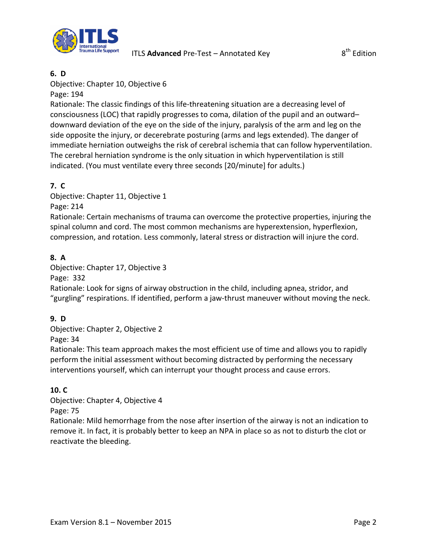

## Objective: Chapter 10, Objective 6

Page: 194

Rationale: The classic findings of this life-threatening situation are a decreasing level of consciousness (LOC) that rapidly progresses to coma, dilation of the pupil and an outward– downward deviation of the eye on the side of the injury, paralysis of the arm and leg on the side opposite the injury, or decerebrate posturing (arms and legs extended). The danger of immediate herniation outweighs the risk of cerebral ischemia that can follow hyperventilation. The cerebral herniation syndrome is the only situation in which hyperventilation is still indicated. (You must ventilate every three seconds [20/minute] for adults.)

# **7. C**

Objective: Chapter 11, Objective 1 Page: 214

Rationale: Certain mechanisms of trauma can overcome the protective properties, injuring the spinal column and cord. The most common mechanisms are hyperextension, hyperflexion, compression, and rotation. Less commonly, lateral stress or distraction will injure the cord.

## **8. A**

Objective: Chapter 17, Objective 3

Page: 332

Rationale: Look for signs of airway obstruction in the child, including apnea, stridor, and "gurgling" respirations. If identified, perform a jaw-thrust maneuver without moving the neck.

### **9. D**

Objective: Chapter 2, Objective 2 Page: 34

Rationale: This team approach makes the most efficient use of time and allows you to rapidly perform the initial assessment without becoming distracted by performing the necessary interventions yourself, which can interrupt your thought process and cause errors.

# **10. C**

Objective: Chapter 4, Objective 4

Page: 75

Rationale: Mild hemorrhage from the nose after insertion of the airway is not an indication to remove it. In fact, it is probably better to keep an NPA in place so as not to disturb the clot or reactivate the bleeding.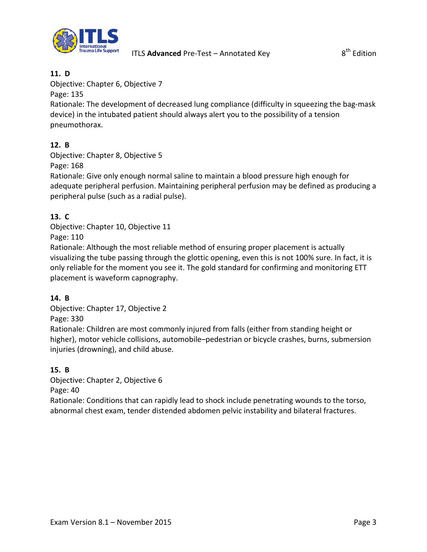

Objective: Chapter 6, Objective 7

Page: 135

Rationale: The development of decreased lung compliance (difficulty in squeezing the bag-mask device) in the intubated patient should always alert you to the possibility of a tension pneumothorax.

## **12. B**

Objective: Chapter 8, Objective 5

Page: 168

Rationale: Give only enough normal saline to maintain a blood pressure high enough for adequate peripheral perfusion. Maintaining peripheral perfusion may be defined as producing a peripheral pulse (such as a radial pulse).

## **13. C**

Objective: Chapter 10, Objective 11 Page: 110

Rationale: Although the most reliable method of ensuring proper placement is actually visualizing the tube passing through the glottic opening, even this is not 100% sure. In fact, it is only reliable for the moment you see it. The gold standard for confirming and monitoring ETT placement is waveform capnography.

# **14. B**

Objective: Chapter 17, Objective 2 Page: 330

Rationale: Children are most commonly injured from falls (either from standing height or higher), motor vehicle collisions, automobile–pedestrian or bicycle crashes, burns, submersion injuries (drowning), and child abuse.

### **15. B**

Objective: Chapter 2, Objective 6

Page: 40

Rationale: Conditions that can rapidly lead to shock include penetrating wounds to the torso, abnormal chest exam, tender distended abdomen pelvic instability and bilateral fractures.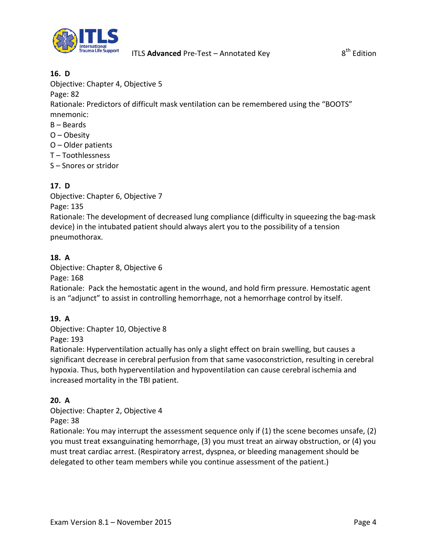

Objective: Chapter 4, Objective 5

Page: 82

Rationale: Predictors of difficult mask ventilation can be remembered using the "BOOTS" mnemonic:

- B Beards
- O Obesity
- O Older patients
- T Toothlessness
- S Snores or stridor

# **17. D**

Objective: Chapter 6, Objective 7 Page: 135

Rationale: The development of decreased lung compliance (difficulty in squeezing the bag-mask device) in the intubated patient should always alert you to the possibility of a tension pneumothorax.

## **18. A**

Objective: Chapter 8, Objective 6

Page: 168

Rationale: Pack the hemostatic agent in the wound, and hold firm pressure. Hemostatic agent is an "adjunct" to assist in controlling hemorrhage, not a hemorrhage control by itself.

### **19. A**

Objective: Chapter 10, Objective 8 Page: 193

Rationale: Hyperventilation actually has only a slight effect on brain swelling, but causes a significant decrease in cerebral perfusion from that same vasoconstriction, resulting in cerebral hypoxia. Thus, both hyperventilation and hypoventilation can cause cerebral ischemia and increased mortality in the TBI patient.

### **20. A**

Objective: Chapter 2, Objective 4 Page: 38

Rationale: You may interrupt the assessment sequence only if (1) the scene becomes unsafe, (2) you must treat exsanguinating hemorrhage, (3) you must treat an airway obstruction, or (4) you must treat cardiac arrest. (Respiratory arrest, dyspnea, or bleeding management should be delegated to other team members while you continue assessment of the patient.)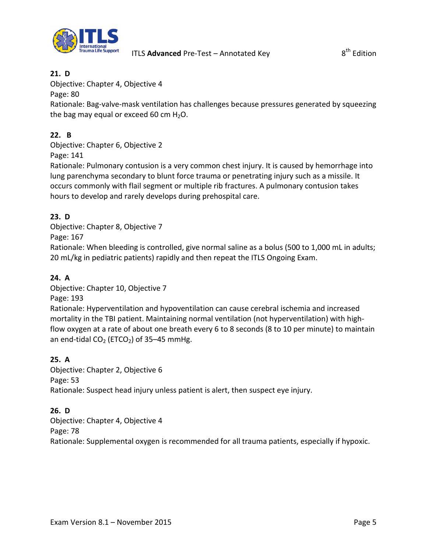

Objective: Chapter 4, Objective 4

Page: 80

Rationale: Bag-valve-mask ventilation has challenges because pressures generated by squeezing the bag may equal or exceed 60 cm  $H_2O$ .

### **22. B**

Objective: Chapter 6, Objective 2 Page: 141

Rationale: Pulmonary contusion is a very common chest injury. It is caused by hemorrhage into lung parenchyma secondary to blunt force trauma or penetrating injury such as a missile. It occurs commonly with flail segment or multiple rib fractures. A pulmonary contusion takes hours to develop and rarely develops during prehospital care.

### **23. D**

Objective: Chapter 8, Objective 7

Page: 167

Rationale: When bleeding is controlled, give normal saline as a bolus (500 to 1,000 mL in adults; 20 mL/kg in pediatric patients) rapidly and then repeat the ITLS Ongoing Exam.

### **24. A**

Objective: Chapter 10, Objective 7

Page: 193

Rationale: Hyperventilation and hypoventilation can cause cerebral ischemia and increased mortality in the TBI patient. Maintaining normal ventilation (not hyperventilation) with highflow oxygen at a rate of about one breath every 6 to 8 seconds (8 to 10 per minute) to maintain an end-tidal  $CO<sub>2</sub>$  (ETCO<sub>2</sub>) of 35–45 mmHg.

### **25. A**

Objective: Chapter 2, Objective 6 Page: 53 Rationale: Suspect head injury unless patient is alert, then suspect eye injury.

### **26. D**

Objective: Chapter 4, Objective 4 Page: 78 Rationale: Supplemental oxygen is recommended for all trauma patients, especially if hypoxic.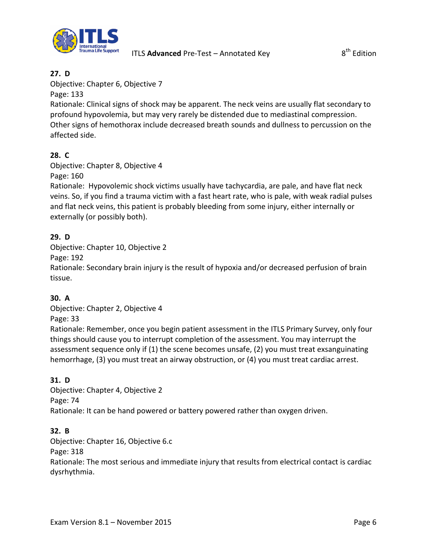

Objective: Chapter 6, Objective 7

Page: 133

Rationale: Clinical signs of shock may be apparent. The neck veins are usually flat secondary to profound hypovolemia, but may very rarely be distended due to mediastinal compression. Other signs of hemothorax include decreased breath sounds and dullness to percussion on the affected side.

# **28. C**

Objective: Chapter 8, Objective 4

Page: 160

Rationale: Hypovolemic shock victims usually have tachycardia, are pale, and have flat neck veins. So, if you find a trauma victim with a fast heart rate, who is pale, with weak radial pulses and flat neck veins, this patient is probably bleeding from some injury, either internally or externally (or possibly both).

# **29. D**

Objective: Chapter 10, Objective 2

Page: 192

Rationale: Secondary brain injury is the result of hypoxia and/or decreased perfusion of brain tissue.

# **30. A**

Objective: Chapter 2, Objective 4 Page: 33

Rationale: Remember, once you begin patient assessment in the ITLS Primary Survey, only four things should cause you to interrupt completion of the assessment. You may interrupt the assessment sequence only if (1) the scene becomes unsafe, (2) you must treat exsanguinating hemorrhage, (3) you must treat an airway obstruction, or (4) you must treat cardiac arrest.

# **31. D**

Objective: Chapter 4, Objective 2 Page: 74 Rationale: It can be hand powered or battery powered rather than oxygen driven.

# **32. B**

Objective: Chapter 16, Objective 6.c

Page: 318

Rationale: The most serious and immediate injury that results from electrical contact is cardiac dysrhythmia.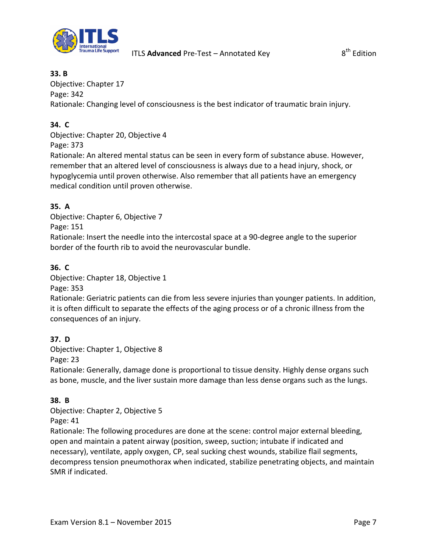

### **33. B**

Objective: Chapter 17 Page: 342

Rationale: Changing level of consciousness is the best indicator of traumatic brain injury.

## **34. C**

Objective: Chapter 20, Objective 4

Page: 373

Rationale: An altered mental status can be seen in every form of substance abuse. However, remember that an altered level of consciousness is always due to a head injury, shock, or hypoglycemia until proven otherwise. Also remember that all patients have an emergency medical condition until proven otherwise.

## **35. A**

Objective: Chapter 6, Objective 7 Page: 151

Rationale: Insert the needle into the intercostal space at a 90-degree angle to the superior border of the fourth rib to avoid the neurovascular bundle.

### **36. C**

Objective: Chapter 18, Objective 1

Page: 353

Rationale: Geriatric patients can die from less severe injuries than younger patients. In addition, it is often difficult to separate the effects of the aging process or of a chronic illness from the consequences of an injury.

### **37. D**

Objective: Chapter 1, Objective 8

Page: 23

Rationale: Generally, damage done is proportional to tissue density. Highly dense organs such as bone, muscle, and the liver sustain more damage than less dense organs such as the lungs.

### **38. B**

Objective: Chapter 2, Objective 5 Page: 41

Rationale: The following procedures are done at the scene: control major external bleeding, open and maintain a patent airway (position, sweep, suction; intubate if indicated and necessary), ventilate, apply oxygen, CP, seal sucking chest wounds, stabilize flail segments, decompress tension pneumothorax when indicated, stabilize penetrating objects, and maintain SMR if indicated.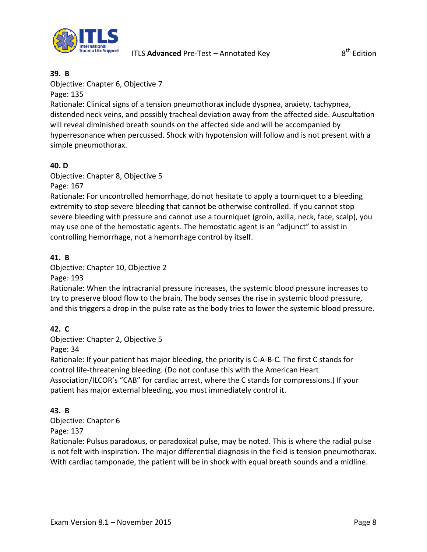

#### **39. B**

### Objective: Chapter 6, Objective 7

Page: 135

Rationale: Clinical signs of a tension pneumothorax include dyspnea, anxiety, tachypnea, distended neck veins, and possibly tracheal deviation away from the affected side. Auscultation will reveal diminished breath sounds on the affected side and will be accompanied by hyperresonance when percussed. Shock with hypotension will follow and is not present with a simple pneumothorax.

### **40. D**

Objective: Chapter 8, Objective 5 Page: 167

Rationale: For uncontrolled hemorrhage, do not hesitate to apply a tourniquet to a bleeding extremity to stop severe bleeding that cannot be otherwise controlled. If you cannot stop severe bleeding with pressure and cannot use a tourniquet (groin, axilla, neck, face, scalp), you may use one of the hemostatic agents. The hemostatic agent is an "adjunct" to assist in controlling hemorrhage, not a hemorrhage control by itself.

### **41. B**

#### Objective: Chapter 10, Objective 2

Page: 193

Rationale: When the intracranial pressure increases, the systemic blood pressure increases to try to preserve blood flow to the brain. The body senses the rise in systemic blood pressure, and this triggers a drop in the pulse rate as the body tries to lower the systemic blood pressure.

### **42. C**

Objective: Chapter 2, Objective 5

Page: 34

Rationale: If your patient has major bleeding, the priority is C-A-B-C. The first C stands for control life-threatening bleeding. (Do not confuse this with the American Heart Association/ILCOR's "CAB" for cardiac arrest, where the C stands for compressions.) If your patient has major external bleeding, you must immediately control it.

#### **43. B**

Objective: Chapter 6

#### Page: 137

Rationale: Pulsus paradoxus, or paradoxical pulse, may be noted. This is where the radial pulse is not felt with inspiration. The major differential diagnosis in the field is tension pneumothorax. With cardiac tamponade, the patient will be in shock with equal breath sounds and a midline.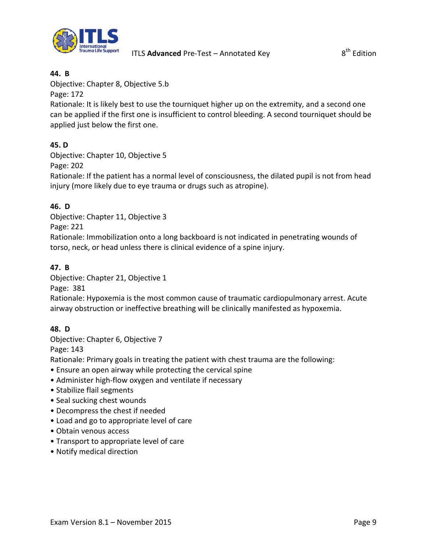

#### **44. B**

Objective: Chapter 8, Objective 5.b

Page: 172

Rationale: It is likely best to use the tourniquet higher up on the extremity, and a second one can be applied if the first one is insufficient to control bleeding. A second tourniquet should be applied just below the first one.

## **45. D**

Objective: Chapter 10, Objective 5

Page: 202

Rationale: If the patient has a normal level of consciousness, the dilated pupil is not from head injury (more likely due to eye trauma or drugs such as atropine).

## **46. D**

Objective: Chapter 11, Objective 3 Page: 221

Rationale: Immobilization onto a long backboard is not indicated in penetrating wounds of torso, neck, or head unless there is clinical evidence of a spine injury.

### **47. B**

Objective: Chapter 21, Objective 1

Page: 381

Rationale: Hypoxemia is the most common cause of traumatic cardiopulmonary arrest. Acute airway obstruction or ineffective breathing will be clinically manifested as hypoxemia.

### **48. D**

Objective: Chapter 6, Objective 7

Page: 143

Rationale: Primary goals in treating the patient with chest trauma are the following:

- Ensure an open airway while protecting the cervical spine
- Administer high-flow oxygen and ventilate if necessary
- Stabilize flail segments
- Seal sucking chest wounds
- Decompress the chest if needed
- Load and go to appropriate level of care
- Obtain venous access
- Transport to appropriate level of care
- Notify medical direction